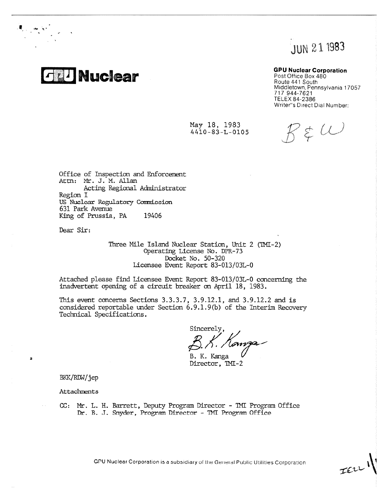JUN 21 1983

# **25 Auclear**

Ant

### **GPU Nuclear Corporation**

Post Office Box 480 Route 441 South Middletown, Pennsylvania 17057 717 944-7621 TELEX 84-2386 Writer"s Direct Dial Number:

May 18, 1983 4410-83-L-0105

 $7 \notin \omega$ 

JELLI

Office of Inspection and Enforcement Attn: Mr. J. M. Allan Acting Regional Administrator Region I US Nuclear Regulatory Commiocion 631 Park Avenue King of Prussia, PA 19406

Dear Sir:

Three Mile Island Nuclear Station, Unit 2 (TMI-2) Operating License No. DPR-73 Docket No. 50-320 Licensee Event Report 83-013/03L-0

Attached please find Ticensee Event Report 83-013/03L-0 concerning the inadvertent opening of a circuit breaker on April 18, 1983.

This event concerns Sections 3.3.3.7, 3.9.12.1, and 3.9.12.2 and is considered reportable under Section 6.9.1.9(b) of the Interim Recovery Technical Specifications.

Sincerely anza

B. K. Kanga Director, TMI-2

BKK/RDW/jep

 $\overline{z}$ 

**Attachments** 

CC: Mr. L. H. Barrett, Deputy Program Director - TMI Program Office Dr. B. J. Snyder, Program Director - TMT Program Office

GPU Nuclear Corporation is a subsidiary of the General Public Utilities Corporation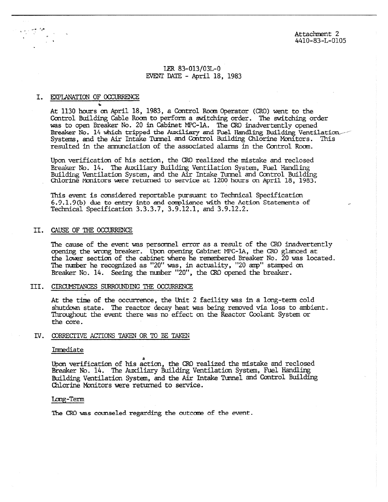Attachment 2 4410-83-L-0105

## LER 83-013/03L-0 EVENT DATE - April 18, 1983

#### I. EXPLANATION OF OCCURRENCE

At 1130 hours on April 18, 1983, a Control Roam Operator (CRO) went to the Control Building Cable Room to perform a switching order. The switching order was to open Breaker No. 20 in Cabinet MPC-1A. The CRO inadvertently opened Breaker No. 14 which tripped the Auxiliary and Fuel Handling Building Ventilation Systems, and the Air Intake Tunnel and Control Building Chlorine Monitors. This resulted in the amunciation of the associated alarms in the Control Room.

Upon verification of his action, the CRO realized the mistake and reclosed Breaker No. 14. The Auxiliary Building Ventilation System, Fuel Handling Building Ventilation System, and the Air Intake Tunnel and Control Building<br>Chlorine Monitors were returned to service at 1200 hours on April 18, 1983.

This event is considered reportable pursuant to Technical Specification  $6.9.1.9(b)$  due to entry into and compliance with the Action Statements of Technical Specification 3.3.3.7, 3.9.12.1, and 3.9.12.2.

### II. CAUSE OF THE OCCURRENCE

The cause of the event was personnel error as a result of the CRO inadvertently opening the wrong breaker. Upon opening Cabinet MPG-1A, the CRO glanced at the lower section of the cabinet where he remembered Breaker No. 20 was located. The number he recognized as "20" was, in actuality, "20 amp" stamped on Breaker No. 14. Seeing the number "20", the CRO opened the breaker.

#### III. CIRCUMSTANCES SURROUNDING THE OCCURRENCE

At the time of the occurrence, the Unit 2 facility was in a long-term cold shutdown state. The reactor decay heat was being removed via loss to ambient. Throughout the event there was no effect on the Reactor Coolant System or the core.

## IV. CORRECTIVE ACTIONS TAKEN OR TO BE TAKEN

#### Immediate

Upon verification of his action, the CRO realized the mistake and reclosed Breaker No. 14. The Auxiliary Building Ventilation System, Fuel Handling Building Ventilation System, and the Air Intake Tunnel and Control Building Chlorine Monitors were returned to service.

#### Long-Term

The CRO was counseled regarding the outcome of the event.